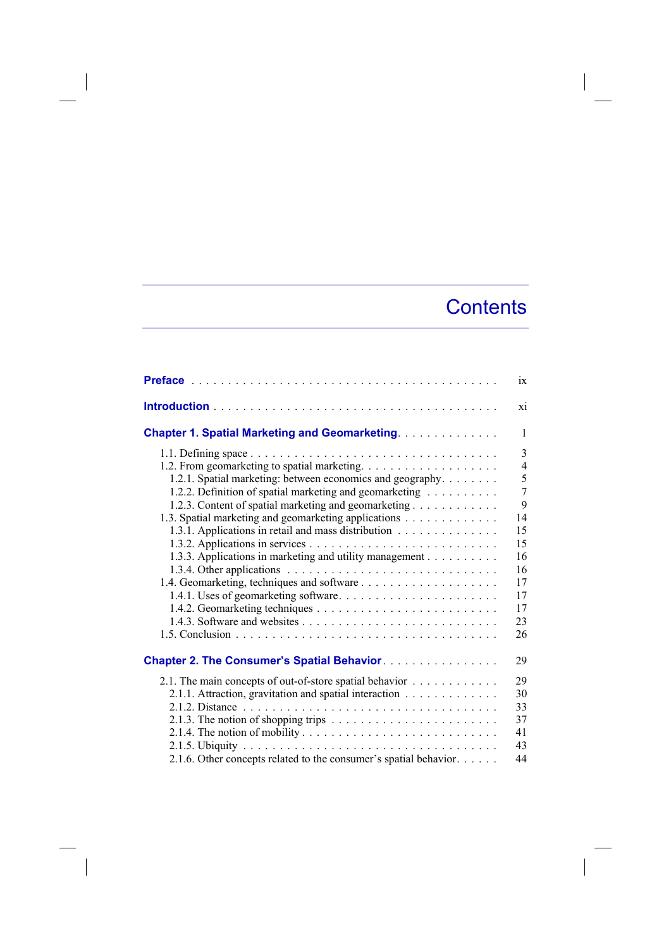## **Contents**

|                                                                                                                                                                                                                                                                                                                                                                                                                                                              | $\overline{1}X$                                                                                       |
|--------------------------------------------------------------------------------------------------------------------------------------------------------------------------------------------------------------------------------------------------------------------------------------------------------------------------------------------------------------------------------------------------------------------------------------------------------------|-------------------------------------------------------------------------------------------------------|
|                                                                                                                                                                                                                                                                                                                                                                                                                                                              | xi                                                                                                    |
| <b>Chapter 1. Spatial Marketing and Geomarketing.</b>                                                                                                                                                                                                                                                                                                                                                                                                        | $\mathbf{1}$                                                                                          |
| 1.2.1. Spatial marketing: between economics and geography.<br>1.2.2. Definition of spatial marketing and geomarketing<br>1.2.3. Content of spatial marketing and geomarketing<br>1.3. Spatial marketing and geomarketing applications<br>1.3.1. Applications in retail and mass distribution<br>1.3.3. Applications in marketing and utility management<br>1.3.4. Other applications $\ldots \ldots \ldots \ldots \ldots \ldots \ldots \ldots \ldots \ldots$ | 3<br>$\overline{4}$<br>5<br>$\overline{7}$<br>9<br>14<br>15<br>15<br>16<br>16<br>17<br>17<br>17<br>23 |
|                                                                                                                                                                                                                                                                                                                                                                                                                                                              | 26                                                                                                    |
| <b>Chapter 2. The Consumer's Spatial Behavior.</b>                                                                                                                                                                                                                                                                                                                                                                                                           | 29                                                                                                    |
| 2.1. The main concepts of out-of-store spatial behavior $\dots \dots \dots \dots$<br>2.1.1. Attraction, gravitation and spatial interaction<br>2.1.6. Other concepts related to the consumer's spatial behavior.                                                                                                                                                                                                                                             | 29<br>30<br>33<br>37<br>41<br>43<br>44                                                                |

 $\overline{\phantom{a}}$ 

 $\overline{\phantom{a}}$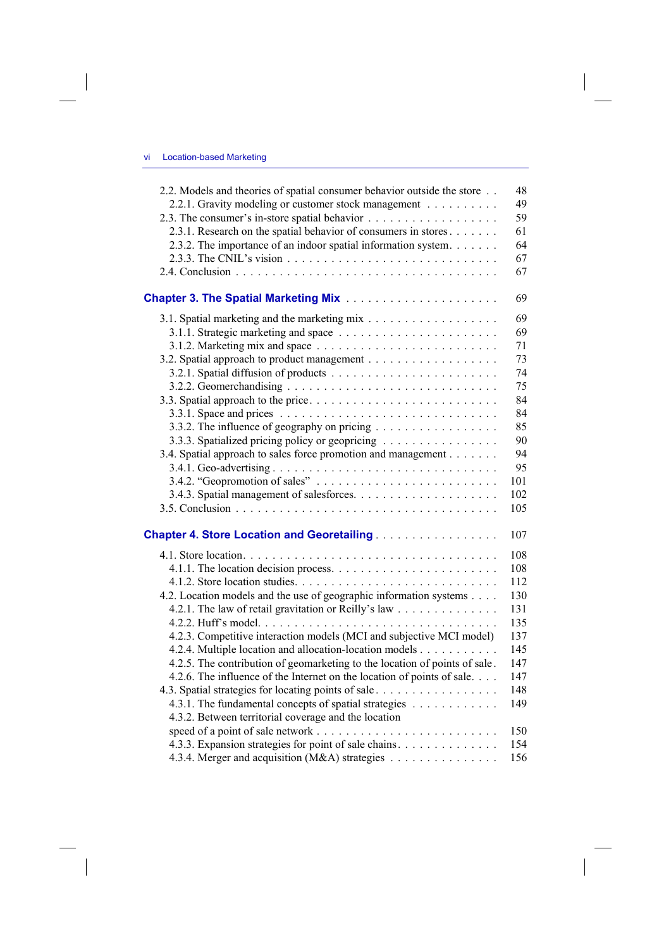$\overline{\phantom{a}}$ 

 $\overline{\phantom{a}}$ 

| 2.2. Models and theories of spatial consumer behavior outside the store                | 48  |
|----------------------------------------------------------------------------------------|-----|
| 2.2.1. Gravity modeling or customer stock management                                   | 49  |
|                                                                                        | 59  |
| 2.3.1. Research on the spatial behavior of consumers in stores                         | 61  |
| 2.3.2. The importance of an indoor spatial information system.                         | 64  |
|                                                                                        | 67  |
|                                                                                        | 67  |
| <b>Chapter 3. The Spatial Marketing Mix</b>                                            | 69  |
|                                                                                        | 69  |
|                                                                                        | 69  |
|                                                                                        | 71  |
|                                                                                        | 73  |
|                                                                                        | 74  |
|                                                                                        | 75  |
|                                                                                        | 84  |
|                                                                                        | 84  |
| 3.3.2. The influence of geography on pricing                                           | 85  |
| 3.3.3. Spatialized pricing policy or geopricing                                        | 90  |
| 3.4. Spatial approach to sales force promotion and management                          | 94  |
|                                                                                        | 95  |
| 3.4.2. "Geopromotion of sales" $\dots \dots \dots \dots \dots \dots \dots \dots \dots$ | 101 |
|                                                                                        | 102 |
|                                                                                        | 105 |
|                                                                                        |     |
| <b>Chapter 4. Store Location and Georetailing</b>                                      | 107 |
|                                                                                        | 108 |
|                                                                                        | 108 |
|                                                                                        | 112 |
| 4.2. Location models and the use of geographic information systems                     | 130 |
| 4.2.1. The law of retail gravitation or Reilly's law                                   | 131 |
|                                                                                        | 135 |
| 4.2.3. Competitive interaction models (MCI and subjective MCI model)                   | 137 |
| 4.2.4. Multiple location and allocation-location models                                | 145 |
| 4.2.5. The contribution of geomarketing to the location of points of sale.             | 147 |
| 4.2.6. The influence of the Internet on the location of points of sale                 | 147 |
|                                                                                        | 148 |
| 4.3.1. The fundamental concepts of spatial strategies                                  | 149 |
| 4.3.2. Between territorial coverage and the location                                   |     |
|                                                                                        | 150 |
| 4.3.3. Expansion strategies for point of sale chains.                                  | 154 |
| 4.3.4. Merger and acquisition (M&A) strategies                                         | 156 |

 $\overline{\phantom{a}}$